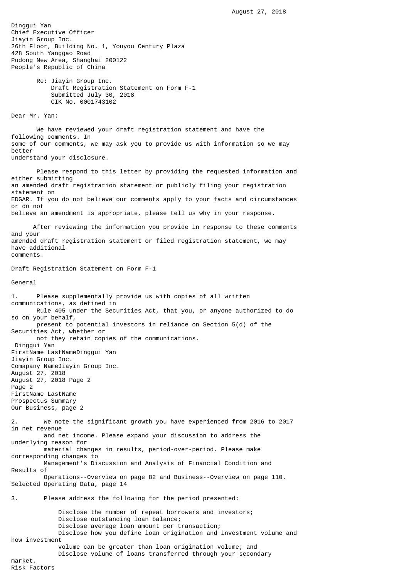Dinggui Yan Chief Executive Officer Jiayin Group Inc. 26th Floor, Building No. 1, Youyou Century Plaza 428 South Yanggao Road Pudong New Area, Shanghai 200122 People's Republic of China Re: Jiayin Group Inc. Draft Registration Statement on Form F-1 Submitted July 30, 2018 CIK No. 0001743102 Dear Mr. Yan: We have reviewed your draft registration statement and have the following comments. In some of our comments, we may ask you to provide us with information so we may better understand your disclosure. Please respond to this letter by providing the requested information and either submitting an amended draft registration statement or publicly filing your registration statement on EDGAR. If you do not believe our comments apply to your facts and circumstances or do not believe an amendment is appropriate, please tell us why in your response. After reviewing the information you provide in response to these comments and your amended draft registration statement or filed registration statement, we may have additional comments. Draft Registration Statement on Form F-1 General 1. Please supplementally provide us with copies of all written communications, as defined in Rule 405 under the Securities Act, that you, or anyone authorized to do so on your behalf, present to potential investors in reliance on Section 5(d) of the Securities Act, whether or not they retain copies of the communications. Dinggui Yan FirstName LastNameDinggui Yan Jiayin Group Inc. Comapany NameJiayin Group Inc. August 27, 2018 August 27, 2018 Page 2 Page 2

FirstName LastName Prospectus Summary Our Business, page 2

2. We note the significant growth you have experienced from 2016 to 2017 in net revenue and net income. Please expand your discussion to address the

underlying reason for material changes in results, period-over-period. Please make corresponding changes to

 Management's Discussion and Analysis of Financial Condition and Results of

 Operations--Overview on page 82 and Business--Overview on page 110. Selected Operating Data, page 14

3. Please address the following for the period presented:

 Disclose the number of repeat borrowers and investors; Disclose outstanding loan balance; Disclose average loan amount per transaction; Disclose how you define loan origination and investment volume and how investment

volume can be greater than loan origination volume; and

Disclose volume of loans transferred through your secondary

market. Risk Factors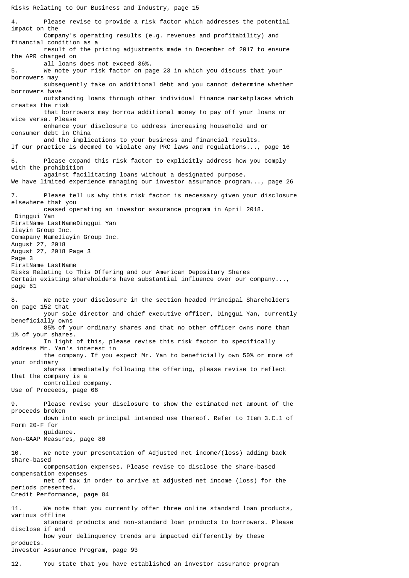4. Please revise to provide a risk factor which addresses the potential impact on the Company's operating results (e.g. revenues and profitability) and financial condition as a result of the pricing adjustments made in December of 2017 to ensure the APR charged on all loans does not exceed 36%. 5. We note your risk factor on page 23 in which you discuss that your borrowers may subsequently take on additional debt and you cannot determine whether borrowers have outstanding loans through other individual finance marketplaces which creates the risk that borrowers may borrow additional money to pay off your loans or vice versa. Please enhance your disclosure to address increasing household and or consumer debt in China and the implications to your business and financial results. If our practice is deemed to violate any PRC laws and regulations..., page 16 6. Please expand this risk factor to explicitly address how you comply with the prohibition against facilitating loans without a designated purpose. We have limited experience managing our investor assurance program..., page 26 Please tell us why this risk factor is necessary given your disclosure elsewhere that you ceased operating an investor assurance program in April 2018. Dinggui Yan FirstName LastNameDinggui Yan Jiayin Group Inc. Comapany NameJiayin Group Inc. August 27, 2018 August 27, 2018 Page 3 Page 3 FirstName LastName Risks Relating to This Offering and our American Depositary Shares Certain existing shareholders have substantial influence over our company..., page 61 8. We note your disclosure in the section headed Principal Shareholders on page 152 that your sole director and chief executive officer, Dinggui Yan, currently beneficially owns 85% of your ordinary shares and that no other officer owns more than 1% of your shares. In light of this, please revise this risk factor to specifically address Mr. Yan's interest in the company. If you expect Mr. Yan to beneficially own 50% or more of your ordinary shares immediately following the offering, please revise to reflect that the company is a controlled company. Use of Proceeds, page 66 9. Please revise your disclosure to show the estimated net amount of the proceeds broken down into each principal intended use thereof. Refer to Item 3.C.1 of Form 20-F for guidance. Non-GAAP Measures, page 80 10. We note your presentation of Adjusted net income/(loss) adding back share-based compensation expenses. Please revise to disclose the share-based compensation expenses net of tax in order to arrive at adjusted net income (loss) for the periods presented. Credit Performance, page 84 11. We note that you currently offer three online standard loan products, various offline standard products and non-standard loan products to borrowers. Please disclose if and how your delinquency trends are impacted differently by these products. Investor Assurance Program, page 93

12. You state that you have established an investor assurance program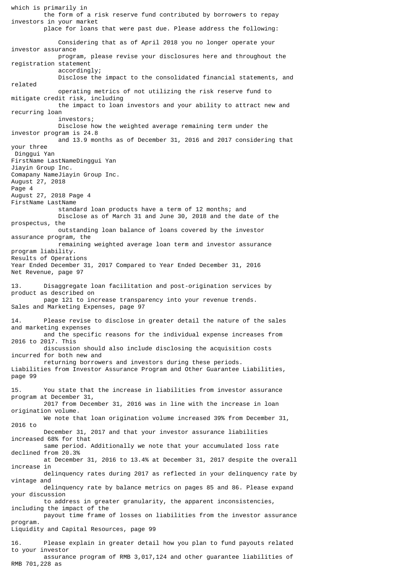which is primarily in the form of a risk reserve fund contributed by borrowers to repay investors in your market place for loans that were past due. Please address the following: Considering that as of April 2018 you no longer operate your investor assurance program, please revise your disclosures here and throughout the registration statement accordingly; Disclose the impact to the consolidated financial statements, and related operating metrics of not utilizing the risk reserve fund to mitigate credit risk, including the impact to loan investors and your ability to attract new and recurring loan investors; Disclose how the weighted average remaining term under the investor program is 24.8 and 13.9 months as of December 31, 2016 and 2017 considering that your three Dinggui Yan FirstName LastNameDinggui Yan Jiayin Group Inc. Comapany NameJiayin Group Inc. August 27, 2018 Page 4 August 27, 2018 Page 4 FirstName LastName standard loan products have a term of 12 months; and Disclose as of March 31 and June 30, 2018 and the date of the prospectus, the outstanding loan balance of loans covered by the investor assurance program, the remaining weighted average loan term and investor assurance program liability. Results of Operations Year Ended December 31, 2017 Compared to Year Ended December 31, 2016 Net Revenue, page 97 13. Disaggregate loan facilitation and post-origination services by product as described on page 121 to increase transparency into your revenue trends. Sales and Marketing Expenses, page 97 14. Please revise to disclose in greater detail the nature of the sales and marketing expenses and the specific reasons for the individual expense increases from 2016 to 2017. This discussion should also include disclosing the acquisition costs incurred for both new and returning borrowers and investors during these periods. Liabilities from Investor Assurance Program and Other Guarantee Liabilities, page 99 15. You state that the increase in liabilities from investor assurance program at December 31, 2017 from December 31, 2016 was in line with the increase in loan origination volume. We note that loan origination volume increased 39% from December 31, 2016 to December 31, 2017 and that your investor assurance liabilities increased 68% for that same period. Additionally we note that your accumulated loss rate declined from 20.3% at December 31, 2016 to 13.4% at December 31, 2017 despite the overall increase in delinquency rates during 2017 as reflected in your delinquency rate by vintage and delinquency rate by balance metrics on pages 85 and 86. Please expand your discussion to address in greater granularity, the apparent inconsistencies, including the impact of the payout time frame of losses on liabilities from the investor assurance program. Liquidity and Capital Resources, page 99 16. Please explain in greater detail how you plan to fund payouts related to your investor assurance program of RMB 3,017,124 and other guarantee liabilities of

RMB 701,228 as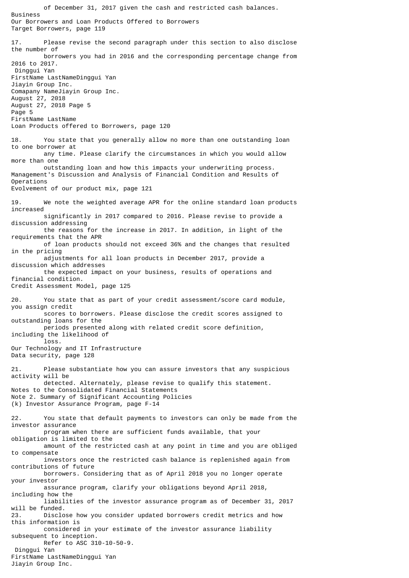of December 31, 2017 given the cash and restricted cash balances. Business Our Borrowers and Loan Products Offered to Borrowers Target Borrowers, page 119 17. Please revise the second paragraph under this section to also disclose the number of borrowers you had in 2016 and the corresponding percentage change from 2016 to 2017. Dinggui Yan FirstName LastNameDinggui Yan Jiayin Group Inc. Comapany NameJiayin Group Inc. August 27, 2018 August 27, 2018 Page 5 Page 5 FirstName LastName Loan Products offered to Borrowers, page 120 18. You state that you generally allow no more than one outstanding loan to one borrower at any time. Please clarify the circumstances in which you would allow more than one outstanding loan and how this impacts your underwriting process. Management's Discussion and Analysis of Financial Condition and Results of Operations Evolvement of our product mix, page 121 19. We note the weighted average APR for the online standard loan products increased significantly in 2017 compared to 2016. Please revise to provide a discussion addressing the reasons for the increase in 2017. In addition, in light of the requirements that the APR of loan products should not exceed 36% and the changes that resulted in the pricing adjustments for all loan products in December 2017, provide a discussion which addresses the expected impact on your business, results of operations and financial condition. Credit Assessment Model, page 125 20. You state that as part of your credit assessment/score card module, you assign credit scores to borrowers. Please disclose the credit scores assigned to outstanding loans for the periods presented along with related credit score definition, including the likelihood of loss. Our Technology and IT Infrastructure Data security, page 128 21. Please substantiate how you can assure investors that any suspicious activity will be detected. Alternately, please revise to qualify this statement. Notes to the Consolidated Financial Statements Note 2. Summary of Significant Accounting Policies (k) Investor Assurance Program, page F-14 22. You state that default payments to investors can only be made from the investor assurance program when there are sufficient funds available, that your obligation is limited to the amount of the restricted cash at any point in time and you are obliged to compensate investors once the restricted cash balance is replenished again from contributions of future borrowers. Considering that as of April 2018 you no longer operate your investor assurance program, clarify your obligations beyond April 2018, including how the liabilities of the investor assurance program as of December 31, 2017 will be funded. 23. Disclose how you consider updated borrowers credit metrics and how this information is considered in your estimate of the investor assurance liability subsequent to inception. Refer to ASC 310-10-50-9. Dinggui Yan FirstName LastNameDinggui Yan Jiayin Group Inc.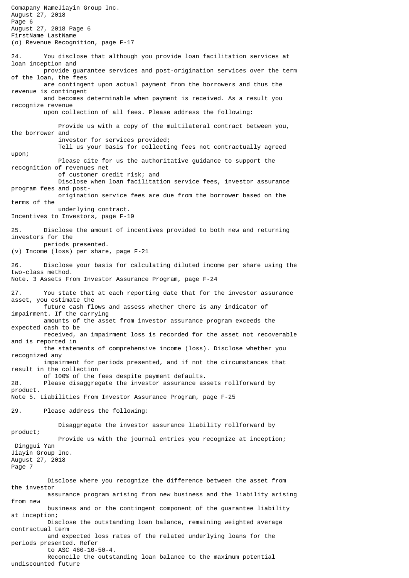Comapany NameJiayin Group Inc. August 27, 2018 Page 6 August 27, 2018 Page 6 FirstName LastName (o) Revenue Recognition, page F-17 24. You disclose that although you provide loan facilitation services at loan inception and provide guarantee services and post-origination services over the term of the loan, the fees are contingent upon actual payment from the borrowers and thus the revenue is contingent and becomes determinable when payment is received. As a result you recognize revenue upon collection of all fees. Please address the following: Provide us with a copy of the multilateral contract between you, the borrower and investor for services provided; Tell us your basis for collecting fees not contractually agreed upon; Please cite for us the authoritative guidance to support the recognition of revenues net of customer credit risk; and Disclose when loan facilitation service fees, investor assurance program fees and post origination service fees are due from the borrower based on the terms of the underlying contract. Incentives to Investors, page F-19 25. Disclose the amount of incentives provided to both new and returning investors for the periods presented. (v) Income (loss) per share, page F-21 26. Disclose your basis for calculating diluted income per share using the two-class method. Note. 3 Assets From Investor Assurance Program, page F-24 27. You state that at each reporting date that for the investor assurance asset, you estimate the future cash flows and assess whether there is any indicator of impairment. If the carrying amounts of the asset from investor assurance program exceeds the expected cash to be received, an impairment loss is recorded for the asset not recoverable and is reported in the statements of comprehensive income (loss). Disclose whether you recognized any impairment for periods presented, and if not the circumstances that result in the collection of 100% of the fees despite payment defaults. 28. Please disaggregate the investor assurance assets rollforward by product. Note 5. Liabilities From Investor Assurance Program, page F-25 29. Please address the following: Disaggregate the investor assurance liability rollforward by product; Provide us with the journal entries you recognize at inception; Dinggui Yan Jiayin Group Inc. August 27, 2018 Page 7 Disclose where you recognize the difference between the asset from the investor assurance program arising from new business and the liability arising from new business and or the contingent component of the guarantee liability at inception; Disclose the outstanding loan balance, remaining weighted average contractual term and expected loss rates of the related underlying loans for the periods presented. Refer to ASC 460-10-50-4. Reconcile the outstanding loan balance to the maximum potential undiscounted future